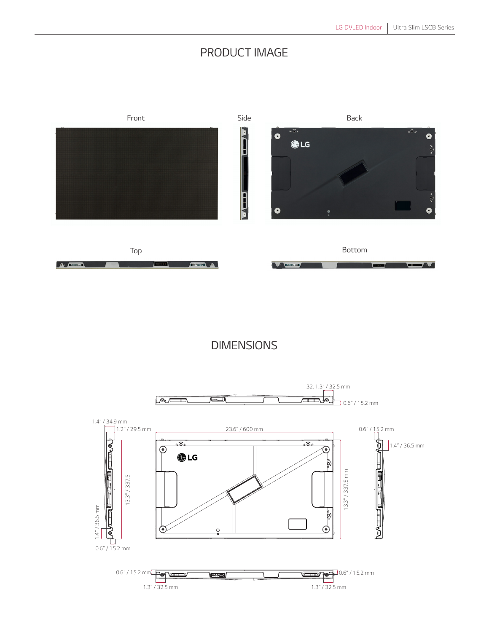## *PRODUCT IMAGE*



*DIMENSIONS*